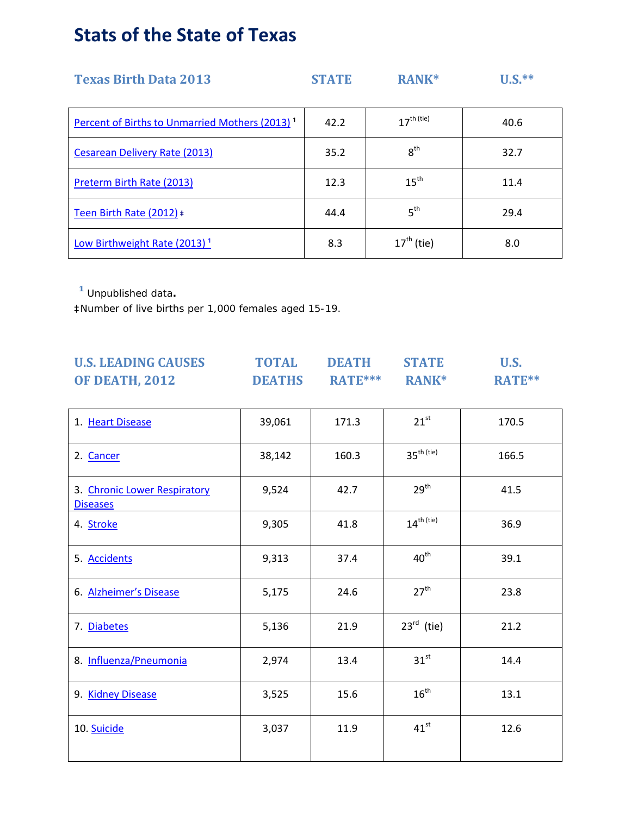# **Stats of the State of Texas**

| <b>Texas Birth Data 2013</b>                               | <b>STATE</b> | <b>RANK*</b>           | $U.S.**$ |
|------------------------------------------------------------|--------------|------------------------|----------|
| Percent of Births to Unmarried Mothers (2013) <sup>1</sup> | 42.2         | $17^{\text{th (tie)}}$ | 40.6     |
| Cesarean Delivery Rate (2013)                              | 35.2         | 8 <sup>th</sup>        | 32.7     |
| Preterm Birth Rate (2013)                                  | 12.3         | $15^{\text{th}}$       | 11.4     |
| Teen Birth Rate (2012) #                                   | 44.4         | 5 <sup>th</sup>        | 29.4     |
| Low Birthweight Rate $(2013)^1$                            | 8.3          | $17th$ (tie)           | 8.0      |

**¹** Unpublished data**.**

‡Number of live births per 1,000 females aged 15-19.

| <b>U.S. LEADING CAUSES</b>                      | <b>TOTAL</b>  | <b>DEATH</b>                   | <b>STATE</b>     | <b>U.S.</b> |  |
|-------------------------------------------------|---------------|--------------------------------|------------------|-------------|--|
| <b>OF DEATH, 2012</b>                           | <b>DEATHS</b> | <b>RATE***</b><br><b>RANK*</b> |                  | RATE**      |  |
|                                                 |               |                                |                  |             |  |
| 1. Heart Disease                                | 39,061        | 171.3                          | $21^{st}$        | 170.5       |  |
| 2. Cancer                                       | 38,142        | 160.3                          | $35th$ (tie)     | 166.5       |  |
| 3. Chronic Lower Respiratory<br><b>Diseases</b> | 9,524         | 42.7                           | 29 <sup>th</sup> | 41.5        |  |
| 4. Stroke                                       | 9,305         | 41.8                           | $14^{th (tie)}$  | 36.9        |  |
| 5. Accidents                                    | 9,313         | 37.4                           | $40^{\text{th}}$ | 39.1        |  |
| 6. Alzheimer's Disease                          | 5,175         | 24.6                           | 27 <sup>th</sup> | 23.8        |  |
| 7. Diabetes                                     | 5,136         | 21.9                           | $23^{rd}$ (tie)  | 21.2        |  |
| 8. Influenza/Pneumonia                          | 2,974         | 13.4                           | $31^{st}$        | 14.4        |  |
| 9. Kidney Disease                               | 3,525         | 15.6                           | $16^{\text{th}}$ | 13.1        |  |
| 10. Suicide                                     | 3,037         | 11.9                           | $41^{st}$        | 12.6        |  |
|                                                 |               |                                |                  |             |  |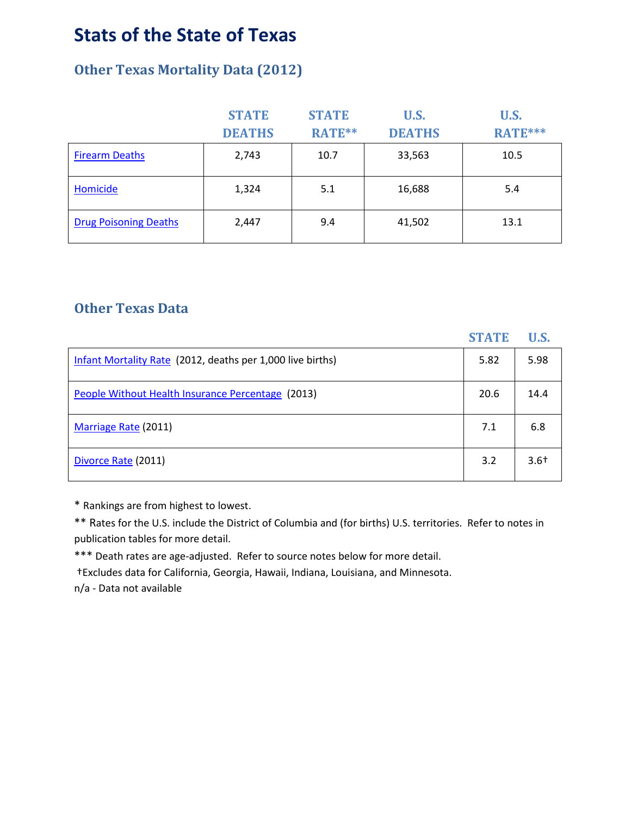### **Stats of the State of Texas**

### **Other Texas Mortality Data (2012)**

|                              | <b>STATE</b>  | <b>STATE</b> | U.S.          | <b>U.S.</b>    |  |
|------------------------------|---------------|--------------|---------------|----------------|--|
|                              | <b>DEATHS</b> | RATE**       | <b>DEATHS</b> | <b>RATE***</b> |  |
| <b>Firearm Deaths</b>        | 2,743         | 10.7         | 33,563        | 10.5           |  |
| Homicide                     | 1,324         | 5.1          | 16,688        | 5.4            |  |
| <b>Drug Poisoning Deaths</b> | 2,447         | 9.4          | 41,502        | 13.1           |  |

#### **Other Texas Data**

|                                                            | <b>STATE</b> | <b>U.S.</b> |
|------------------------------------------------------------|--------------|-------------|
| Infant Mortality Rate (2012, deaths per 1,000 live births) | 5.82         | 5.98        |
| People Without Health Insurance Percentage (2013)          | 20.6         | 14.4        |
| Marriage Rate (2011)                                       | 7.1          | 6.8         |
| Divorce Rate (2011)                                        | 3.2          | $3.6+$      |

\* Rankings are from highest to lowest.

\*\* Rates for the U.S. include the District of Columbia and (for births) U.S. territories. Refer to notes in publication tables for more detail.

\*\*\* Death rates are age-adjusted. Refer to source notes below for more detail.

†Excludes data for California, Georgia, Hawaii, Indiana, Louisiana, and Minnesota.

n/a - Data not available